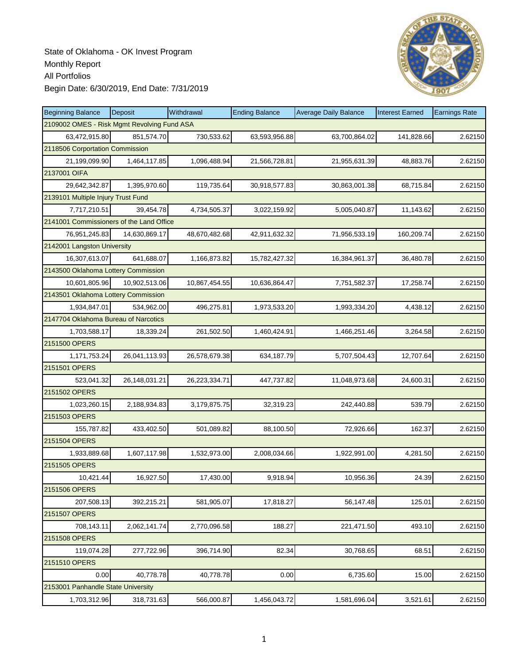

| <b>Beginning Balance</b>                    | Deposit       | Withdrawal    | <b>Ending Balance</b> | <b>Average Daily Balance</b> | <b>Interest Earned</b> | <b>Earnings Rate</b> |
|---------------------------------------------|---------------|---------------|-----------------------|------------------------------|------------------------|----------------------|
| 2109002 OMES - Risk Mgmt Revolving Fund ASA |               |               |                       |                              |                        |                      |
| 63,472,915.80                               | 851,574.70    | 730,533.62    | 63,593,956.88         | 63,700,864.02                | 141,828.66             | 2.62150              |
| 2118506 Corportation Commission             |               |               |                       |                              |                        |                      |
| 21,199,099.90                               | 1,464,117.85  | 1,096,488.94  | 21,566,728.81         | 21,955,631.39                | 48,883.76              | 2.62150              |
| 2137001 OIFA                                |               |               |                       |                              |                        |                      |
| 29,642,342.87                               | 1,395,970.60  | 119,735.64    | 30,918,577.83         | 30,863,001.38                | 68,715.84              | 2.62150              |
| 2139101 Multiple Injury Trust Fund          |               |               |                       |                              |                        |                      |
| 7,717,210.51                                | 39,454.78     | 4,734,505.37  | 3,022,159.92          | 5,005,040.87                 | 11,143.62              | 2.62150              |
| 2141001 Commissioners of the Land Office    |               |               |                       |                              |                        |                      |
| 76,951,245.83                               | 14,630,869.17 | 48,670,482.68 | 42,911,632.32         | 71,956,533.19                | 160,209.74             | 2.62150              |
| 2142001 Langston University                 |               |               |                       |                              |                        |                      |
| 16,307,613.07                               | 641,688.07    | 1,166,873.82  | 15,782,427.32         | 16,384,961.37                | 36,480.78              | 2.62150              |
| 2143500 Oklahoma Lottery Commission         |               |               |                       |                              |                        |                      |
| 10,601,805.96                               | 10,902,513.06 | 10,867,454.55 | 10,636,864.47         | 7,751,582.37                 | 17,258.74              | 2.62150              |
| 2143501 Oklahoma Lottery Commission         |               |               |                       |                              |                        |                      |
| 1,934,847.01                                | 534.962.00    | 496,275.81    | 1,973,533.20          | 1,993,334.20                 | 4,438.12               | 2.62150              |
| 2147704 Oklahoma Bureau of Narcotics        |               |               |                       |                              |                        |                      |
| 1,703,588.17                                | 18,339.24     | 261,502.50    | 1,460,424.91          | 1,466,251.46                 | 3,264.58               | 2.62150              |
| 2151500 OPERS                               |               |               |                       |                              |                        |                      |
| 1,171,753.24                                | 26,041,113.93 | 26,578,679.38 | 634,187.79            | 5,707,504.43                 | 12,707.64              | 2.62150              |
| 2151501 OPERS                               |               |               |                       |                              |                        |                      |
| 523,041.32                                  | 26,148,031.21 | 26,223,334.71 | 447,737.82            | 11,048,973.68                | 24,600.31              | 2.62150              |
| 2151502 OPERS                               |               |               |                       |                              |                        |                      |
| 1,023,260.15                                | 2,188,934.83  | 3,179,875.75  | 32,319.23             | 242,440.88                   | 539.79                 | 2.62150              |
| 2151503 OPERS                               |               |               |                       |                              |                        |                      |
| 155,787.82                                  | 433,402.50    | 501,089.82    | 88,100.50             | 72,926.66                    | 162.37                 | 2.62150              |
| 2151504 OPERS                               |               |               |                       |                              |                        |                      |
| 1,933,889.68                                | 1,607,117.98  | 1,532,973.00  | 2,008,034.66          | 1,922,991.00                 | 4,281.50               | 2.62150              |
| 2151505 OPERS                               |               |               |                       |                              |                        |                      |
| 10,421.44                                   | 16,927.50     | 17,430.00     | 9,918.94              | 10,956.36                    | 24.39                  | 2.62150              |
| 2151506 OPERS                               |               |               |                       |                              |                        |                      |
| 207,508.13                                  | 392,215.21    | 581,905.07    | 17,818.27             | 56,147.48                    | 125.01                 | 2.62150              |
| 2151507 OPERS                               |               |               |                       |                              |                        |                      |
| 708,143.11                                  | 2,062,141.74  | 2,770,096.58  | 188.27                | 221,471.50                   | 493.10                 | 2.62150              |
| 2151508 OPERS                               |               |               |                       |                              |                        |                      |
| 119,074.28                                  | 277,722.96    | 396,714.90    | 82.34                 | 30,768.65                    | 68.51                  | 2.62150              |
| 2151510 OPERS                               |               |               |                       |                              |                        |                      |
| 0.00                                        | 40,778.78     | 40,778.78     | 0.00                  | 6,735.60                     | 15.00                  | 2.62150              |
| 2153001 Panhandle State University          |               |               |                       |                              |                        |                      |
| 1,703,312.96                                | 318,731.63    | 566,000.87    | 1,456,043.72          | 1,581,696.04                 | 3,521.61               | 2.62150              |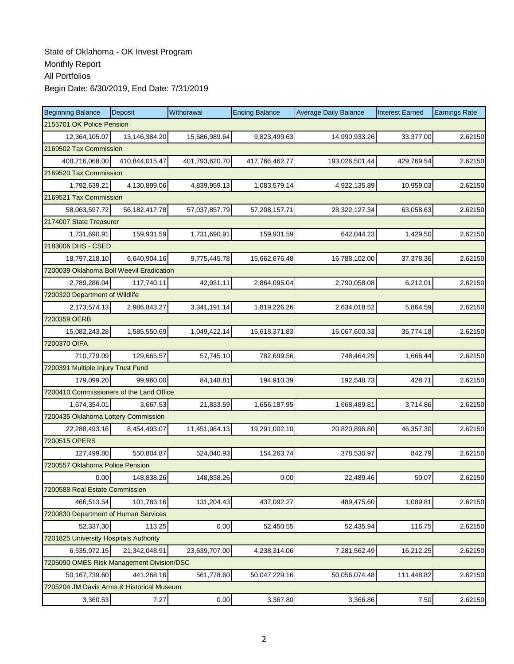| <b>Beginning Balance</b>                  | Deposit                | Withdrawal     | <b>Ending Balance</b> | <b>Average Daily Balance</b> | <b>Interest Earned</b> | <b>Earnings Rate</b> |  |  |  |
|-------------------------------------------|------------------------|----------------|-----------------------|------------------------------|------------------------|----------------------|--|--|--|
| 2155701 OK Police Pension                 |                        |                |                       |                              |                        |                      |  |  |  |
| 12,364,105.07                             | 13,146,384.20          | 15,686,989.64  | 9,823,499.63          | 14,990,933.26                | 33,377.00              | 2.62150              |  |  |  |
|                                           | 2169502 Tax Commission |                |                       |                              |                        |                      |  |  |  |
| 408,716,068.00                            | 410,844,015.47         | 401,793,620.70 | 417,766,462.77        | 193,026,501.44               | 429,769.54             | 2.62150              |  |  |  |
|                                           | 2169520 Tax Commission |                |                       |                              |                        |                      |  |  |  |
| 1,792,639.21                              | 4,130,899.06           | 4,839,959.13   | 1,083,579.14          | 4,922,135.89                 | 10,959.03              | 2.62150              |  |  |  |
| 2169521 Tax Commission                    |                        |                |                       |                              |                        |                      |  |  |  |
| 58,063,597.72                             | 56, 182, 417. 78       | 57,037,857.79  | 57,208,157.71         | 28,322,127.34                | 63,058.63              | 2.62150              |  |  |  |
| 2174007 State Treasurer                   |                        |                |                       |                              |                        |                      |  |  |  |
| 1,731,690.91                              | 159,931.59             | 1,731,690.91   | 159,931.59            | 642,044.23                   | 1,429.50               | 2.62150              |  |  |  |
| 2183006 DHS - CSED                        |                        |                |                       |                              |                        |                      |  |  |  |
| 18,797,218.10                             | 6,640,904.16           | 9,775,445.78   | 15,662,676.48         | 16,788,102.00                | 37,378.36              | 2.62150              |  |  |  |
| 7200039 Oklahoma Boll Weevil Eradication  |                        |                |                       |                              |                        |                      |  |  |  |
| 2,789,286.04                              | 117,740.11             | 42,931.11      | 2,864,095.04          | 2,790,058.08                 | 6,212.01               | 2.62150              |  |  |  |
| 7200320 Department of Wildlife            |                        |                |                       |                              |                        |                      |  |  |  |
| 2,173,574.13                              | 2,986,843.27           | 3,341,191.14   | 1,819,226.26          | 2,634,018.52                 | 5,864.59               | 2.62150              |  |  |  |
| 7200359 OERB                              |                        |                |                       |                              |                        |                      |  |  |  |
| 15,082,243.28                             | 1,585,550.69           | 1,049,422.14   | 15,618,371.83         | 16,067,600.33                | 35,774.18              | 2.62150              |  |  |  |
| 7200370 OIFA                              |                        |                |                       |                              |                        |                      |  |  |  |
| 710,779.09                                | 129,665.57             | 57,745.10      | 782,699.56            | 748,464.29                   | 1,666.44               | 2.62150              |  |  |  |
| 7200391 Multiple Injury Trust Fund        |                        |                |                       |                              |                        |                      |  |  |  |
| 179,099.20                                | 99,960.00              | 84,148.81      | 194,910.39            | 192,548.73                   | 428.71                 | 2.62150              |  |  |  |
| 7200410 Commissioners of the Land Office  |                        |                |                       |                              |                        |                      |  |  |  |
| 1,674,354.01                              | 3,667.53               | 21,833.59      | 1,656,187.95          | 1,668,489.81                 | 3,714.86               | 2.62150              |  |  |  |
| 7200435 Oklahoma Lottery Commission       |                        |                |                       |                              |                        |                      |  |  |  |
| 22,288,493.16                             | 8,454,493.07           | 11,451,984.13  | 19,291,002.10         | 20,820,896.80                | 46,357.30              | 2.62150              |  |  |  |
| 7200515 OPERS                             |                        |                |                       |                              |                        |                      |  |  |  |
| 127,499.80                                | 550,804.87             | 524,040.93     | 154,263.74            | 378,530.97                   | 842.79                 | 2.62150              |  |  |  |
| 7200557 Oklahoma Police Pension           |                        |                |                       |                              |                        |                      |  |  |  |
| 0.00                                      | 148,838.26             | 148,838.26     | 0.00                  | 22,489.46                    | 50.07                  | 2.62150              |  |  |  |
| 7200588 Real Estate Commission            |                        |                |                       |                              |                        |                      |  |  |  |
| 466,513.54                                | 101,783.16             | 131,204.43     | 437,092.27            | 489,475.60                   | 1,089.81               | 2.62150              |  |  |  |
| 7200830 Department of Human Services      |                        |                |                       |                              |                        |                      |  |  |  |
| 52,337.30                                 | 113.25                 | 0.00           | 52,450.55             | 52,435.94                    | 116.75                 | 2.62150              |  |  |  |
| 7201825 University Hospitals Authority    |                        |                |                       |                              |                        |                      |  |  |  |
| 6,535,972.15                              | 21,342,048.91          | 23,639,707.00  | 4,238,314.06          | 7,281,562.49                 | 16,212.25              | 2.62150              |  |  |  |
| 7205090 OMES Risk Management Division/DSC |                        |                |                       |                              |                        |                      |  |  |  |
| 50,167,739.60                             | 441,268.16             | 561,778.60     | 50,047,229.16         | 50,056,074.48                | 111,448.82             | 2.62150              |  |  |  |
| 7205204 JM Davis Arms & Historical Museum |                        |                |                       |                              |                        |                      |  |  |  |
| 3,360.53                                  | 7.27                   | 0.00           | 3,367.80              | 3,366.86                     | 7.50                   | 2.62150              |  |  |  |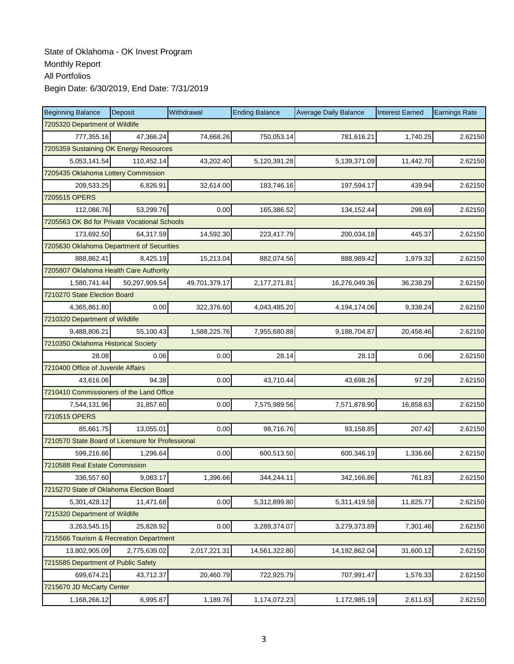| <b>Beginning Balance</b>                          | Deposit       | Withdrawal    | <b>Ending Balance</b> | <b>Average Daily Balance</b> | <b>Interest Earned</b> | <b>Earnings Rate</b> |  |  |  |
|---------------------------------------------------|---------------|---------------|-----------------------|------------------------------|------------------------|----------------------|--|--|--|
| 7205320 Department of Wildlife                    |               |               |                       |                              |                        |                      |  |  |  |
| 777,355.16                                        | 47,366.24     | 74,668.26     | 750,053.14            | 781,616.21                   | 1,740.25               | 2.62150              |  |  |  |
| 7205359 Sustaining OK Energy Resources            |               |               |                       |                              |                        |                      |  |  |  |
| 5,053,141.54                                      | 110,452.14    | 43,202.40     | 5,120,391.28          | 5,139,371.09                 | 11,442.70              | 2.62150              |  |  |  |
| 7205435 Oklahoma Lottery Commission               |               |               |                       |                              |                        |                      |  |  |  |
| 209,533.25                                        | 6,826.91      | 32,614.00     | 183,746.16            | 197,594.17                   | 439.94                 | 2.62150              |  |  |  |
| 7205515 OPERS                                     |               |               |                       |                              |                        |                      |  |  |  |
| 112,086.76                                        | 53,299.76     | 0.00          | 165,386.52            | 134,152.44                   | 298.69                 | 2.62150              |  |  |  |
| 7205563 OK Bd for Private Vocational Schools      |               |               |                       |                              |                        |                      |  |  |  |
| 173,692.50                                        | 64,317.59     | 14,592.30     | 223,417.79            | 200,034.18                   | 445.37                 | 2.62150              |  |  |  |
| 7205630 Oklahoma Department of Securities         |               |               |                       |                              |                        |                      |  |  |  |
| 888,862.41                                        | 8,425.19      | 15,213.04     | 882,074.56            | 888,989.42                   | 1,979.32               | 2.62150              |  |  |  |
| 7205807 Oklahoma Health Care Authority            |               |               |                       |                              |                        |                      |  |  |  |
| 1,580,741.44                                      | 50,297,909.54 | 49,701,379.17 | 2,177,271.81          | 16,276,049.36                | 36,238.29              | 2.62150              |  |  |  |
| 7210270 State Election Board                      |               |               |                       |                              |                        |                      |  |  |  |
| 4,365,861.80                                      | 0.00          | 322,376.60    | 4,043,485.20          | 4,194,174.06                 | 9,338.24               | 2.62150              |  |  |  |
| 7210320 Department of Wildlife                    |               |               |                       |                              |                        |                      |  |  |  |
| 9,488,806.21                                      | 55.100.43     | 1,588,225.76  | 7,955,680.88          | 9,188,704.87                 | 20,458.46              | 2.62150              |  |  |  |
| 7210350 Oklahoma Historical Society               |               |               |                       |                              |                        |                      |  |  |  |
| 28.08                                             | 0.06          | 0.00          | 28.14                 | 28.13                        | 0.06                   | 2.62150              |  |  |  |
| 7210400 Office of Juvenile Affairs                |               |               |                       |                              |                        |                      |  |  |  |
| 43,616.06                                         | 94.38         | 0.00          | 43,710.44             | 43,698.26                    | 97.29                  | 2.62150              |  |  |  |
| 7210410 Commissioners of the Land Office          |               |               |                       |                              |                        |                      |  |  |  |
| 7,544,131.96                                      | 31,857.60     | 0.00          | 7,575,989.56          | 7,571,878.90                 | 16,858.63              | 2.62150              |  |  |  |
| 7210515 OPERS                                     |               |               |                       |                              |                        |                      |  |  |  |
| 85,661.75                                         | 13,055.01     | 0.00          | 98,716.76             | 93,158.85                    | 207.42                 | 2.62150              |  |  |  |
| 7210570 State Board of Licensure for Professional |               |               |                       |                              |                        |                      |  |  |  |
| 599,216.86                                        | 1,296.64      | 0.00          | 600,513.50            | 600,346.19                   | 1,336.66               | 2.62150              |  |  |  |
| 7210588 Real Estate Commission                    |               |               |                       |                              |                        |                      |  |  |  |
| 336,557.60                                        | 9,083.17      | 1,396.66      | 344,244.11            | 342,166.86                   | 761.83                 | 2.62150              |  |  |  |
| 7215270 State of Oklahoma Election Board          |               |               |                       |                              |                        |                      |  |  |  |
| 5,301,428.12                                      | 11,471.68     | 0.00          | 5,312,899.80          | 5,311,419.58                 | 11,825.77              | 2.62150              |  |  |  |
| 7215320 Department of Wildlife                    |               |               |                       |                              |                        |                      |  |  |  |
| 3,263,545.15                                      | 25,828.92     | 0.00          | 3,289,374.07          | 3,279,373.89                 | 7,301.46               | 2.62150              |  |  |  |
| 7215566 Tourism & Recreation Department           |               |               |                       |                              |                        |                      |  |  |  |
| 13,802,905.09                                     | 2,775,639.02  | 2,017,221.31  | 14,561,322.80         | 14,192,862.04                | 31,600.12              | 2.62150              |  |  |  |
| 7215585 Department of Public Safety               |               |               |                       |                              |                        |                      |  |  |  |
| 699,674.21                                        | 43,712.37     | 20,460.79     | 722,925.79            | 707,991.47                   | 1,576.33               | 2.62150              |  |  |  |
| 7215670 JD McCarty Center                         |               |               |                       |                              |                        |                      |  |  |  |
| 1,168,266.12                                      | 6,995.87      | 1,189.76      | 1,174,072.23          | 1,172,985.19                 | 2,611.63               | 2.62150              |  |  |  |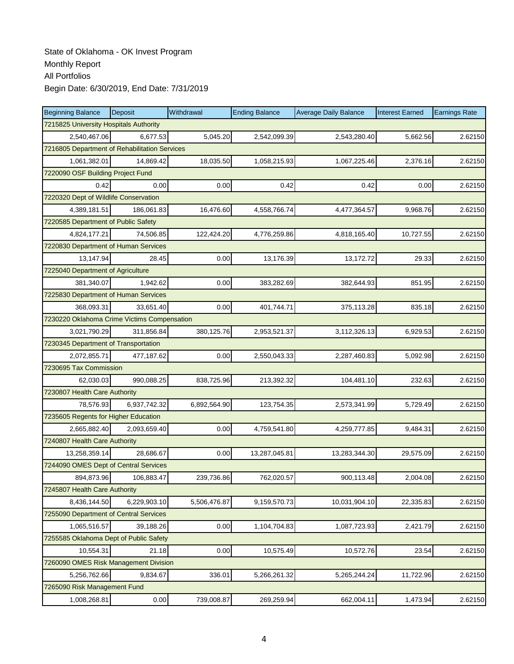| <b>Beginning Balance</b>                      | Deposit                           | Withdrawal   | <b>Ending Balance</b> | <b>Average Daily Balance</b> | <b>Interest Earned</b> | <b>Earnings Rate</b> |  |  |  |
|-----------------------------------------------|-----------------------------------|--------------|-----------------------|------------------------------|------------------------|----------------------|--|--|--|
| 7215825 University Hospitals Authority        |                                   |              |                       |                              |                        |                      |  |  |  |
| 2,540,467.06                                  | 6.677.53                          | 5,045.20     | 2,542,099.39          | 2,543,280.40                 | 5,662.56               | 2.62150              |  |  |  |
| 7216805 Department of Rehabilitation Services |                                   |              |                       |                              |                        |                      |  |  |  |
| 1,061,382.01                                  | 14,869.42                         | 18,035.50    | 1,058,215.93          | 1,067,225.46                 | 2,376.16               | 2.62150              |  |  |  |
|                                               | 7220090 OSF Building Project Fund |              |                       |                              |                        |                      |  |  |  |
| 0.42                                          | 0.00                              | 0.00         | 0.42                  | 0.42                         | 0.00                   | 2.62150              |  |  |  |
| 7220320 Dept of Wildlife Conservation         |                                   |              |                       |                              |                        |                      |  |  |  |
| 4,389,181.51                                  | 186,061.83                        | 16,476.60    | 4,558,766.74          | 4,477,364.57                 | 9,968.76               | 2.62150              |  |  |  |
| 7220585 Department of Public Safety           |                                   |              |                       |                              |                        |                      |  |  |  |
| 4,824,177.21                                  | 74,506.85                         | 122,424.20   | 4,776,259.86          | 4,818,165.40                 | 10,727.55              | 2.62150              |  |  |  |
| 7220830 Department of Human Services          |                                   |              |                       |                              |                        |                      |  |  |  |
| 13,147.94                                     | 28.45                             | 0.00         | 13,176.39             | 13,172.72                    | 29.33                  | 2.62150              |  |  |  |
| 7225040 Department of Agriculture             |                                   |              |                       |                              |                        |                      |  |  |  |
| 381,340.07                                    | 1,942.62                          | 0.00         | 383,282.69            | 382,644.93                   | 851.95                 | 2.62150              |  |  |  |
| 7225830 Department of Human Services          |                                   |              |                       |                              |                        |                      |  |  |  |
| 368,093.31                                    | 33,651.40                         | 0.00         | 401,744.71            | 375,113.28                   | 835.18                 | 2.62150              |  |  |  |
| 7230220 Oklahoma Crime Victims Compensation   |                                   |              |                       |                              |                        |                      |  |  |  |
| 3,021,790.29                                  | 311,856.84                        | 380,125.76   | 2,953,521.37          | 3,112,326.13                 | 6,929.53               | 2.62150              |  |  |  |
| 7230345 Department of Transportation          |                                   |              |                       |                              |                        |                      |  |  |  |
| 2,072,855.71                                  | 477,187.62                        | 0.00         | 2,550,043.33          | 2,287,460.83                 | 5,092.98               | 2.62150              |  |  |  |
| 7230695 Tax Commission                        |                                   |              |                       |                              |                        |                      |  |  |  |
| 62,030.03                                     | 990,088.25                        | 838,725.96   | 213,392.32            | 104,481.10                   | 232.63                 | 2.62150              |  |  |  |
| 7230807 Health Care Authority                 |                                   |              |                       |                              |                        |                      |  |  |  |
| 78,576.93                                     | 6,937,742.32                      | 6,892,564.90 | 123,754.35            | 2,573,341.99                 | 5,729.49               | 2.62150              |  |  |  |
| 7235605 Regents for Higher Education          |                                   |              |                       |                              |                        |                      |  |  |  |
| 2,665,882.40                                  | 2,093,659.40                      | 0.00         | 4,759,541.80          | 4,259,777.85                 | 9,484.31               | 2.62150              |  |  |  |
| 7240807 Health Care Authority                 |                                   |              |                       |                              |                        |                      |  |  |  |
| 13,258,359.14                                 | 28,686.67                         | 0.00         | 13,287,045.81         | 13,283,344.30                | 29,575.09              | 2.62150              |  |  |  |
| 7244090 OMES Dept of Central Services         |                                   |              |                       |                              |                        |                      |  |  |  |
| 894,873.96                                    | 106,883.47                        | 239,736.86   | 762,020.57            | 900,113.48                   | 2,004.08               | 2.62150              |  |  |  |
| 7245807 Health Care Authority                 |                                   |              |                       |                              |                        |                      |  |  |  |
| 8,436,144.50                                  | 6,229,903.10                      | 5,506,476.87 | 9,159,570.73          | 10,031,904.10                | 22,335.83              | 2.62150              |  |  |  |
| 7255090 Department of Central Services        |                                   |              |                       |                              |                        |                      |  |  |  |
| 1,065,516.57                                  | 39,188.26                         | 0.00         | 1,104,704.83          | 1,087,723.93                 | 2,421.79               | 2.62150              |  |  |  |
| 7255585 Oklahoma Dept of Public Safety        |                                   |              |                       |                              |                        |                      |  |  |  |
| 10,554.31                                     | 21.18                             | 0.00         | 10,575.49             | 10,572.76                    | 23.54                  | 2.62150              |  |  |  |
| 7260090 OMES Risk Management Division         |                                   |              |                       |                              |                        |                      |  |  |  |
| 5,256,762.66                                  | 9,834.67                          | 336.01       | 5,266,261.32          | 5,265,244.24                 | 11,722.96              | 2.62150              |  |  |  |
| 7265090 Risk Management Fund                  |                                   |              |                       |                              |                        |                      |  |  |  |
| 1,008,268.81                                  | 0.00                              | 739,008.87   | 269,259.94            | 662,004.11                   | 1,473.94               | 2.62150              |  |  |  |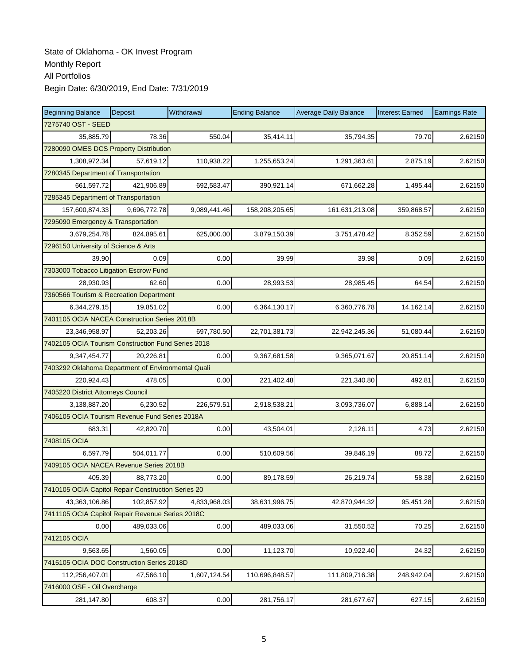| <b>Beginning Balance</b>                           | Deposit      | Withdrawal   | <b>Ending Balance</b> | <b>Average Daily Balance</b> | <b>Interest Earned</b> | <b>Earnings Rate</b> |  |  |  |
|----------------------------------------------------|--------------|--------------|-----------------------|------------------------------|------------------------|----------------------|--|--|--|
| 7275740 OST - SEED                                 |              |              |                       |                              |                        |                      |  |  |  |
| 35,885.79                                          | 78.36        | 550.04       | 35,414.11             | 35,794.35                    | 79.70                  | 2.62150              |  |  |  |
| 7280090 OMES DCS Property Distribution             |              |              |                       |                              |                        |                      |  |  |  |
| 1,308,972.34                                       | 57,619.12    | 110,938.22   | 1,255,653.24          | 1,291,363.61                 | 2,875.19               | 2.62150              |  |  |  |
| 7280345 Department of Transportation               |              |              |                       |                              |                        |                      |  |  |  |
| 661,597.72                                         | 421,906.89   | 692,583.47   | 390,921.14            | 671,662.28                   | 1,495.44               | 2.62150              |  |  |  |
| 7285345 Department of Transportation               |              |              |                       |                              |                        |                      |  |  |  |
| 157,600,874.33                                     | 9,696,772.78 | 9,089,441.46 | 158,208,205.65        | 161,631,213.08               | 359,868.57             | 2.62150              |  |  |  |
| 7295090 Emergency & Transportation                 |              |              |                       |                              |                        |                      |  |  |  |
| 3,679,254.78                                       | 824,895.61   | 625,000.00   | 3,879,150.39          | 3,751,478.42                 | 8,352.59               | 2.62150              |  |  |  |
| 7296150 University of Science & Arts               |              |              |                       |                              |                        |                      |  |  |  |
| 39.90                                              | 0.09         | 0.00         | 39.99                 | 39.98                        | 0.09                   | 2.62150              |  |  |  |
| 7303000 Tobacco Litigation Escrow Fund             |              |              |                       |                              |                        |                      |  |  |  |
| 28,930.93                                          | 62.60        | 0.00         | 28,993.53             | 28,985.45                    | 64.54                  | 2.62150              |  |  |  |
| 7360566 Tourism & Recreation Department            |              |              |                       |                              |                        |                      |  |  |  |
| 6,344,279.15                                       | 19,851.02    | 0.00         | 6,364,130.17          | 6,360,776.78                 | 14,162.14              | 2.62150              |  |  |  |
| 7401105 OCIA NACEA Construction Series 2018B       |              |              |                       |                              |                        |                      |  |  |  |
| 23,346,958.97                                      | 52,203.26    | 697,780.50   | 22,701,381.73         | 22,942,245.36                | 51,080.44              | 2.62150              |  |  |  |
| 7402105 OCIA Tourism Construction Fund Series 2018 |              |              |                       |                              |                        |                      |  |  |  |
| 9,347,454.77                                       | 20,226.81    | 0.00         | 9,367,681.58          | 9,365,071.67                 | 20,851.14              | 2.62150              |  |  |  |
| 7403292 Oklahoma Department of Environmental Quali |              |              |                       |                              |                        |                      |  |  |  |
| 220,924.43                                         | 478.05       | 0.00         | 221,402.48            | 221,340.80                   | 492.81                 | 2.62150              |  |  |  |
| 7405220 District Attorneys Council                 |              |              |                       |                              |                        |                      |  |  |  |
| 3,138,887.20                                       | 6,230.52     | 226,579.51   | 2,918,538.21          | 3,093,736.07                 | 6,888.14               | 2.62150              |  |  |  |
| 7406105 OCIA Tourism Revenue Fund Series 2018A     |              |              |                       |                              |                        |                      |  |  |  |
| 683.31                                             | 42,820.70    | 0.00         | 43,504.01             | 2,126.11                     | 4.73                   | 2.62150              |  |  |  |
| 7408105 OCIA                                       |              |              |                       |                              |                        |                      |  |  |  |
| 6,597.79                                           | 504,011.77   | 0.00         | 510,609.56            | 39,846.19                    | 88.72                  | 2.62150              |  |  |  |
| 7409105 OCIA NACEA Revenue Series 2018B            |              |              |                       |                              |                        |                      |  |  |  |
| 405.39                                             | 88,773.20    | 0.00         | 89,178.59             | 26,219.74                    | 58.38                  | 2.62150              |  |  |  |
| 7410105 OCIA Capitol Repair Construction Series 20 |              |              |                       |                              |                        |                      |  |  |  |
| 43,363,106.86                                      | 102,857.92   | 4,833,968.03 | 38,631,996.75         | 42,870,944.32                | 95,451.28              | 2.62150              |  |  |  |
| 7411105 OCIA Capitol Repair Revenue Series 2018C   |              |              |                       |                              |                        |                      |  |  |  |
| 0.00                                               | 489,033.06   | 0.00         | 489,033.06            | 31,550.52                    | 70.25                  | 2.62150              |  |  |  |
| 7412105 OCIA                                       |              |              |                       |                              |                        |                      |  |  |  |
| 9,563.65                                           | 1,560.05     | 0.00         | 11,123.70             | 10,922.40                    | 24.32                  | 2.62150              |  |  |  |
| 7415105 OCIA DOC Construction Series 2018D         |              |              |                       |                              |                        |                      |  |  |  |
| 112,256,407.01                                     | 47,566.10    | 1,607,124.54 | 110,696,848.57        | 111,809,716.38               | 248,942.04             | 2.62150              |  |  |  |
| 7416000 OSF - Oil Overcharge                       |              |              |                       |                              |                        |                      |  |  |  |
| 281,147.80                                         | 608.37       | 0.00         | 281,756.17            | 281,677.67                   | 627.15                 | 2.62150              |  |  |  |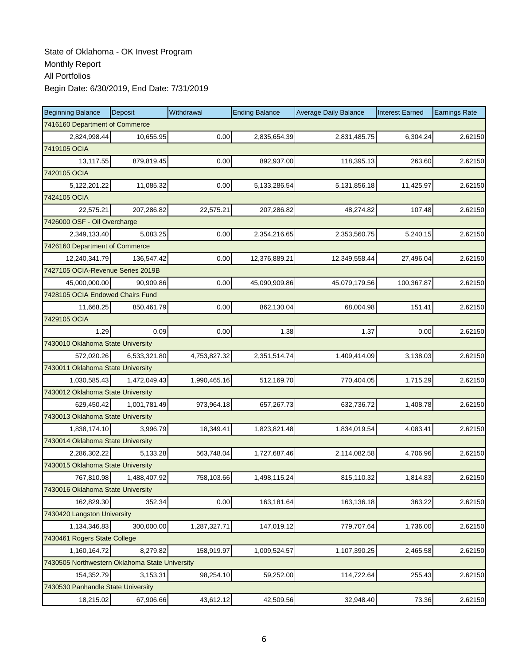| <b>Beginning Balance</b>                       | Deposit      | Withdrawal   | <b>Ending Balance</b> | <b>Average Daily Balance</b> | <b>Interest Earned</b> | <b>Earnings Rate</b> |
|------------------------------------------------|--------------|--------------|-----------------------|------------------------------|------------------------|----------------------|
| 7416160 Department of Commerce                 |              |              |                       |                              |                        |                      |
| 2,824,998.44                                   | 10,655.95    | 0.00         | 2,835,654.39          | 2,831,485.75                 | 6,304.24               | 2.62150              |
| 7419105 OCIA                                   |              |              |                       |                              |                        |                      |
| 13,117.55                                      | 879,819.45   | 0.00         | 892,937.00            | 118,395.13                   | 263.60                 | 2.62150              |
| 7420105 OCIA                                   |              |              |                       |                              |                        |                      |
| 5,122,201.22                                   | 11,085.32    | 0.00         | 5, 133, 286.54        | 5,131,856.18                 | 11,425.97              | 2.62150              |
| 7424105 OCIA                                   |              |              |                       |                              |                        |                      |
| 22,575.21                                      | 207,286.82   | 22,575.21    | 207,286.82            | 48,274.82                    | 107.48                 | 2.62150              |
| 7426000 OSF - Oil Overcharge                   |              |              |                       |                              |                        |                      |
| 2,349,133.40                                   | 5,083.25     | 0.00         | 2,354,216.65          | 2,353,560.75                 | 5,240.15               | 2.62150              |
| 7426160 Department of Commerce                 |              |              |                       |                              |                        |                      |
| 12,240,341.79                                  | 136,547.42   | 0.00         | 12,376,889.21         | 12,349,558.44                | 27,496.04              | 2.62150              |
| 7427105 OCIA-Revenue Series 2019B              |              |              |                       |                              |                        |                      |
| 45,000,000.00                                  | 90,909.86    | 0.00         | 45,090,909.86         | 45,079,179.56                | 100,367.87             | 2.62150              |
| 7428105 OCIA Endowed Chairs Fund               |              |              |                       |                              |                        |                      |
| 11,668.25                                      | 850,461.79   | 0.00         | 862,130.04            | 68,004.98                    | 151.41                 | 2.62150              |
| 7429105 OCIA                                   |              |              |                       |                              |                        |                      |
| 1.29                                           | 0.09         | 0.00         | 1.38                  | 1.37                         | 0.00                   | 2.62150              |
| 7430010 Oklahoma State University              |              |              |                       |                              |                        |                      |
| 572,020.26                                     | 6,533,321.80 | 4,753,827.32 | 2,351,514.74          | 1,409,414.09                 | 3,138.03               | 2.62150              |
| 7430011 Oklahoma State University              |              |              |                       |                              |                        |                      |
| 1,030,585.43                                   | 1,472,049.43 | 1,990,465.16 | 512,169.70            | 770,404.05                   | 1,715.29               | 2.62150              |
| 7430012 Oklahoma State University              |              |              |                       |                              |                        |                      |
| 629,450.42                                     | 1,001,781.49 | 973,964.18   | 657,267.73            | 632,736.72                   | 1,408.78               | 2.62150              |
| 7430013 Oklahoma State University              |              |              |                       |                              |                        |                      |
| 1,838,174.10                                   | 3,996.79     | 18,349.41    | 1,823,821.48          | 1,834,019.54                 | 4,083.41               | 2.62150              |
| 7430014 Oklahoma State University              |              |              |                       |                              |                        |                      |
| 2.286.302.22                                   | 5,133.28     | 563,748.04   | 1,727,687.46          | 2,114,082.58                 | 4,706.96               | 2.62150              |
| 7430015 Oklahoma State University              |              |              |                       |                              |                        |                      |
| 767,810.98                                     | 1,488,407.92 | 758,103.66   | 1,498,115.24          | 815,110.32                   | 1,814.83               | 2.62150              |
| 7430016 Oklahoma State University              |              |              |                       |                              |                        |                      |
| 162,829.30                                     | 352.34       | 0.00         | 163,181.64            | 163,136.18                   | 363.22                 | 2.62150              |
| 7430420 Langston University                    |              |              |                       |                              |                        |                      |
| 1,134,346.83                                   | 300,000.00   | 1,287,327.71 | 147,019.12            | 779,707.64                   | 1,736.00               | 2.62150              |
| 7430461 Rogers State College                   |              |              |                       |                              |                        |                      |
| 1,160,164.72                                   | 8,279.82     | 158,919.97   | 1,009,524.57          | 1,107,390.25                 | 2,465.58               | 2.62150              |
| 7430505 Northwestern Oklahoma State University |              |              |                       |                              |                        |                      |
| 154,352.79                                     | 3,153.31     | 98,254.10    | 59,252.00             | 114,722.64                   | 255.43                 | 2.62150              |
| 7430530 Panhandle State University             |              |              |                       |                              |                        |                      |
| 18,215.02                                      | 67,906.66    | 43,612.12    | 42,509.56             | 32,948.40                    | 73.36                  | 2.62150              |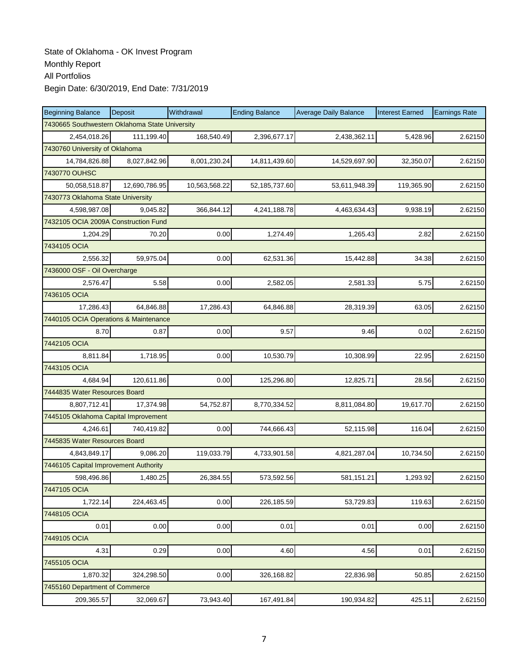| <b>Beginning Balance</b>                       | Deposit       | Withdrawal    | <b>Ending Balance</b> | <b>Average Daily Balance</b> | <b>Interest Earned</b> | <b>Earnings Rate</b> |
|------------------------------------------------|---------------|---------------|-----------------------|------------------------------|------------------------|----------------------|
| 7430665 Southwestern Oklahoma State University |               |               |                       |                              |                        |                      |
| 2,454,018.26                                   | 111,199.40    | 168,540.49    | 2,396,677.17          | 2,438,362.11                 | 5,428.96               | 2.62150              |
| 7430760 University of Oklahoma                 |               |               |                       |                              |                        |                      |
| 14,784,826.88                                  | 8,027,842.96  | 8,001,230.24  | 14,811,439.60         | 14,529,697.90                | 32,350.07              | 2.62150              |
| 7430770 OUHSC                                  |               |               |                       |                              |                        |                      |
| 50,058,518.87                                  | 12,690,786.95 | 10,563,568.22 | 52,185,737.60         | 53,611,948.39                | 119,365.90             | 2.62150              |
| 7430773 Oklahoma State University              |               |               |                       |                              |                        |                      |
| 4,598,987.08                                   | 9,045.82      | 366,844.12    | 4,241,188.78          | 4,463,634.43                 | 9,938.19               | 2.62150              |
| 7432105 OCIA 2009A Construction Fund           |               |               |                       |                              |                        |                      |
| 1,204.29                                       | 70.20         | 0.00          | 1,274.49              | 1,265.43                     | 2.82                   | 2.62150              |
| 7434105 OCIA                                   |               |               |                       |                              |                        |                      |
| 2,556.32                                       | 59,975.04     | 0.00          | 62,531.36             | 15,442.88                    | 34.38                  | 2.62150              |
| 7436000 OSF - Oil Overcharge                   |               |               |                       |                              |                        |                      |
| 2,576.47                                       | 5.58          | 0.00          | 2,582.05              | 2,581.33                     | 5.75                   | 2.62150              |
| 7436105 OCIA                                   |               |               |                       |                              |                        |                      |
| 17,286.43                                      | 64,846.88     | 17,286.43     | 64,846.88             | 28,319.39                    | 63.05                  | 2.62150              |
| 7440105 OCIA Operations & Maintenance          |               |               |                       |                              |                        |                      |
| 8.70                                           | 0.87          | 0.00          | 9.57                  | 9.46                         | 0.02                   | 2.62150              |
| 7442105 OCIA                                   |               |               |                       |                              |                        |                      |
| 8,811.84                                       | 1,718.95      | 0.00          | 10,530.79             | 10,308.99                    | 22.95                  | 2.62150              |
| 7443105 OCIA                                   |               |               |                       |                              |                        |                      |
| 4,684.94                                       | 120,611.86    | 0.00          | 125,296.80            | 12,825.71                    | 28.56                  | 2.62150              |
| 7444835 Water Resources Board                  |               |               |                       |                              |                        |                      |
| 8,807,712.41                                   | 17,374.98     | 54,752.87     | 8,770,334.52          | 8,811,084.80                 | 19,617.70              | 2.62150              |
| 7445105 Oklahoma Capital Improvement           |               |               |                       |                              |                        |                      |
| 4,246.61                                       | 740,419.82    | 0.00          | 744,666.43            | 52,115.98                    | 116.04                 | 2.62150              |
| 7445835 Water Resources Board                  |               |               |                       |                              |                        |                      |
| 4.843.849.17                                   | 9,086.20      | 119,033.79    | 4,733,901.58          | 4,821,287.04                 | 10,734.50              | 2.62150              |
| 7446105 Capital Improvement Authority          |               |               |                       |                              |                        |                      |
| 598,496.86                                     | 1,480.25      | 26,384.55     | 573,592.56            | 581,151.21                   | 1,293.92               | 2.62150              |
| 7447105 OCIA                                   |               |               |                       |                              |                        |                      |
| 1,722.14                                       | 224,463.45    | 0.00          | 226,185.59            | 53,729.83                    | 119.63                 | 2.62150              |
| 7448105 OCIA                                   |               |               |                       |                              |                        |                      |
| 0.01                                           | 0.00          | 0.00          | 0.01                  | 0.01                         | 0.00                   | 2.62150              |
| 7449105 OCIA                                   |               |               |                       |                              |                        |                      |
| 4.31                                           | 0.29          | 0.00          | 4.60                  | 4.56                         | 0.01                   | 2.62150              |
| 7455105 OCIA                                   |               |               |                       |                              |                        |                      |
| 1,870.32                                       | 324,298.50    | 0.00          | 326,168.82            | 22,836.98                    | 50.85                  | 2.62150              |
| 7455160 Department of Commerce                 |               |               |                       |                              |                        |                      |
| 209,365.57                                     | 32,069.67     | 73,943.40     | 167,491.84            | 190,934.82                   | 425.11                 | 2.62150              |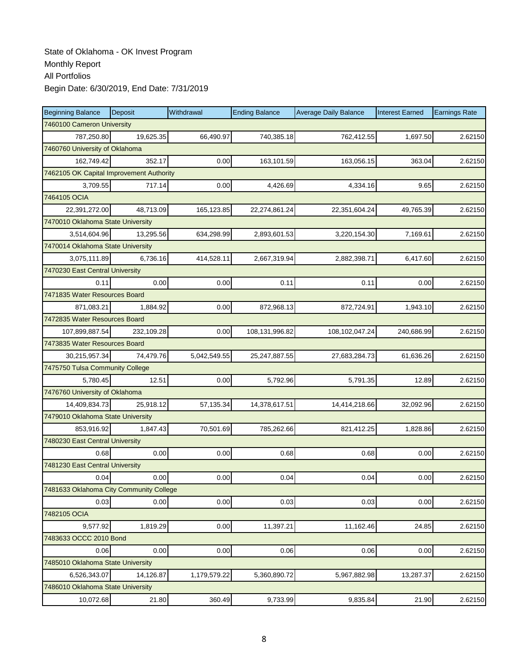| <b>Beginning Balance</b>                 | Deposit    | Withdrawal   | <b>Ending Balance</b> | <b>Average Daily Balance</b> | <b>Interest Earned</b> | <b>Earnings Rate</b> |
|------------------------------------------|------------|--------------|-----------------------|------------------------------|------------------------|----------------------|
| 7460100 Cameron University               |            |              |                       |                              |                        |                      |
| 787,250.80                               | 19,625.35  | 66,490.97    | 740,385.18            | 762,412.55                   | 1.697.50               | 2.62150              |
| 7460760 University of Oklahoma           |            |              |                       |                              |                        |                      |
| 162,749.42                               | 352.17     | 0.00         | 163,101.59            | 163,056.15                   | 363.04                 | 2.62150              |
| 7462105 OK Capital Improvement Authority |            |              |                       |                              |                        |                      |
| 3,709.55                                 | 717.14     | 0.00         | 4,426.69              | 4,334.16                     | 9.65                   | 2.62150              |
| 7464105 OCIA                             |            |              |                       |                              |                        |                      |
| 22,391,272.00                            | 48,713.09  | 165,123.85   | 22,274,861.24         | 22,351,604.24                | 49,765.39              | 2.62150              |
| 7470010 Oklahoma State University        |            |              |                       |                              |                        |                      |
| 3,514,604.96                             | 13,295.56  | 634,298.99   | 2,893,601.53          | 3,220,154.30                 | 7,169.61               | 2.62150              |
| 7470014 Oklahoma State University        |            |              |                       |                              |                        |                      |
| 3,075,111.89                             | 6,736.16   | 414,528.11   | 2,667,319.94          | 2,882,398.71                 | 6,417.60               | 2.62150              |
| 7470230 East Central University          |            |              |                       |                              |                        |                      |
| 0.11                                     | 0.00       | 0.00         | 0.11                  | 0.11                         | 0.00                   | 2.62150              |
| 7471835 Water Resources Board            |            |              |                       |                              |                        |                      |
| 871,083.21                               | 1,884.92   | 0.00         | 872,968.13            | 872,724.91                   | 1,943.10               | 2.62150              |
| 7472835 Water Resources Board            |            |              |                       |                              |                        |                      |
| 107,899,887.54                           | 232,109.28 | 0.00         | 108,131,996.82        | 108,102,047.24               | 240,686.99             | 2.62150              |
| 7473835 Water Resources Board            |            |              |                       |                              |                        |                      |
| 30,215,957.34                            | 74,479.76  | 5,042,549.55 | 25,247,887.55         | 27,683,284.73                | 61,636.26              | 2.62150              |
| 7475750 Tulsa Community College          |            |              |                       |                              |                        |                      |
| 5,780.45                                 | 12.51      | 0.00         | 5,792.96              | 5,791.35                     | 12.89                  | 2.62150              |
| 7476760 University of Oklahoma           |            |              |                       |                              |                        |                      |
| 14,409,834.73                            | 25,918.12  | 57,135.34    | 14,378,617.51         | 14,414,218.66                | 32,092.96              | 2.62150              |
| 7479010 Oklahoma State University        |            |              |                       |                              |                        |                      |
| 853,916.92                               | 1,847.43   | 70,501.69    | 785,262.66            | 821,412.25                   | 1,828.86               | 2.62150              |
| 7480230 East Central University          |            |              |                       |                              |                        |                      |
| 0.68                                     | 0.00       | 0.00         | 0.68                  | 0.68                         | 0.00                   | 2.62150              |
| 7481230 East Central University          |            |              |                       |                              |                        |                      |
| 0.04                                     | 0.00       | 0.00         | 0.04                  | 0.04                         | 0.00                   | 2.62150              |
| 7481633 Oklahoma City Community College  |            |              |                       |                              |                        |                      |
| 0.03                                     | 0.00       | 0.00         | 0.03                  | 0.03                         | 0.00                   | 2.62150              |
| 7482105 OCIA                             |            |              |                       |                              |                        |                      |
| 9,577.92                                 | 1,819.29   | 0.00         | 11,397.21             | 11,162.46                    | 24.85                  | 2.62150              |
| 7483633 OCCC 2010 Bond                   |            |              |                       |                              |                        |                      |
| 0.06                                     | 0.00       | 0.00         | 0.06                  | 0.06                         | 0.00                   | 2.62150              |
| 7485010 Oklahoma State University        |            |              |                       |                              |                        |                      |
| 6,526,343.07                             | 14,126.87  | 1,179,579.22 | 5,360,890.72          | 5,967,882.98                 | 13,287.37              | 2.62150              |
| 7486010 Oklahoma State University        |            |              |                       |                              |                        |                      |
| 10,072.68                                | 21.80      | 360.49       | 9,733.99              | 9,835.84                     | 21.90                  | 2.62150              |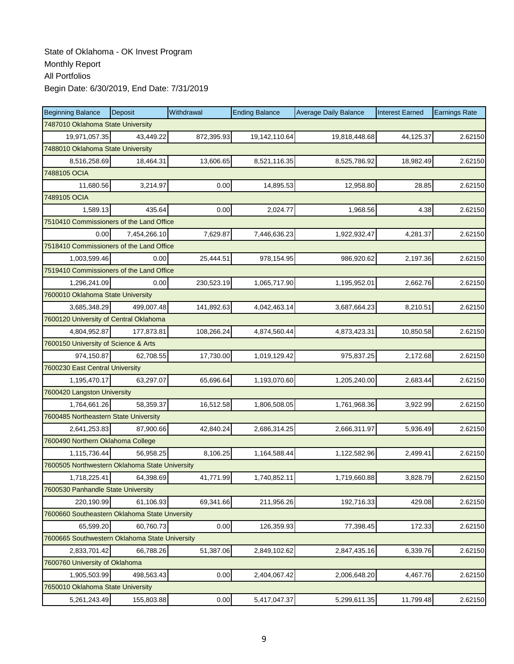| <b>Beginning Balance</b>                       | Deposit      | Withdrawal | <b>Ending Balance</b> | <b>Average Daily Balance</b> | <b>Interest Earned</b> | <b>Earnings Rate</b> |
|------------------------------------------------|--------------|------------|-----------------------|------------------------------|------------------------|----------------------|
| 7487010 Oklahoma State University              |              |            |                       |                              |                        |                      |
| 19,971,057.35                                  | 43.449.22    | 872,395.93 | 19,142,110.64         | 19,818,448.68                | 44,125.37              | 2.62150              |
| 7488010 Oklahoma State University              |              |            |                       |                              |                        |                      |
| 8,516,258.69                                   | 18,464.31    | 13,606.65  | 8,521,116.35          | 8,525,786.92                 | 18,982.49              | 2.62150              |
| 7488105 OCIA                                   |              |            |                       |                              |                        |                      |
| 11,680.56                                      | 3,214.97     | 0.00       | 14,895.53             | 12,958.80                    | 28.85                  | 2.62150              |
| 7489105 OCIA                                   |              |            |                       |                              |                        |                      |
| 1,589.13                                       | 435.64       | 0.00       | 2,024.77              | 1,968.56                     | 4.38                   | 2.62150              |
| 7510410 Commissioners of the Land Office       |              |            |                       |                              |                        |                      |
| 0.00                                           | 7,454,266.10 | 7,629.87   | 7,446,636.23          | 1,922,932.47                 | 4,281.37               | 2.62150              |
| 7518410 Commissioners of the Land Office       |              |            |                       |                              |                        |                      |
| 1,003,599.46                                   | 0.00         | 25,444.51  | 978,154.95            | 986,920.62                   | 2,197.36               | 2.62150              |
| 7519410 Commissioners of the Land Office       |              |            |                       |                              |                        |                      |
| 1,296,241.09                                   | 0.00         | 230,523.19 | 1,065,717.90          | 1,195,952.01                 | 2,662.76               | 2.62150              |
| 7600010 Oklahoma State University              |              |            |                       |                              |                        |                      |
| 3,685,348.29                                   | 499.007.48   | 141,892.63 | 4,042,463.14          | 3,687,664.23                 | 8,210.51               | 2.62150              |
| 7600120 University of Central Oklahoma         |              |            |                       |                              |                        |                      |
| 4,804,952.87                                   | 177,873.81   | 108,266.24 | 4,874,560.44          | 4,873,423.31                 | 10,850.58              | 2.62150              |
| 7600150 University of Science & Arts           |              |            |                       |                              |                        |                      |
| 974,150.87                                     | 62,708.55    | 17,730.00  | 1,019,129.42          | 975,837.25                   | 2,172.68               | 2.62150              |
| 7600230 East Central University                |              |            |                       |                              |                        |                      |
| 1,195,470.17                                   | 63,297.07    | 65,696.64  | 1,193,070.60          | 1,205,240.00                 | 2,683.44               | 2.62150              |
| 7600420 Langston University                    |              |            |                       |                              |                        |                      |
| 1,764,661.26                                   | 58,359.37    | 16,512.58  | 1,806,508.05          | 1,761,968.36                 | 3,922.99               | 2.62150              |
| 7600485 Northeastern State University          |              |            |                       |                              |                        |                      |
| 2,641,253.83                                   | 87,900.66    | 42,840.24  | 2,686,314.25          | 2,666,311.97                 | 5,936.49               | 2.62150              |
| 7600490 Northern Oklahoma College              |              |            |                       |                              |                        |                      |
| 1,115,736.44                                   | 56,958.25    | 8,106.25   | 1,164,588.44          | 1,122,582.96                 | 2,499.41               | 2.62150              |
| 7600505 Northwestern Oklahoma State University |              |            |                       |                              |                        |                      |
| 1,718,225.41                                   | 64,398.69    | 41,771.99  | 1,740,852.11          | 1,719,660.88                 | 3,828.79               | 2.62150              |
| 7600530 Panhandle State University             |              |            |                       |                              |                        |                      |
| 220,190.99                                     | 61,106.93    | 69,341.66  | 211,956.26            | 192,716.33                   | 429.08                 | 2.62150              |
| 7600660 Southeastern Oklahoma State Unversity  |              |            |                       |                              |                        |                      |
| 65,599.20                                      | 60,760.73    | 0.00       | 126,359.93            | 77,398.45                    | 172.33                 | 2.62150              |
| 7600665 Southwestern Oklahoma State University |              |            |                       |                              |                        |                      |
| 2,833,701.42                                   | 66,788.26    | 51,387.06  | 2,849,102.62          | 2,847,435.16                 | 6,339.76               | 2.62150              |
| 7600760 University of Oklahoma                 |              |            |                       |                              |                        |                      |
| 1,905,503.99                                   | 498,563.43   | 0.00       | 2,404,067.42          | 2,006,648.20                 | 4,467.76               | 2.62150              |
| 7650010 Oklahoma State University              |              |            |                       |                              |                        |                      |
| 5,261,243.49                                   | 155,803.88   | 0.00       | 5,417,047.37          | 5,299,611.35                 | 11,799.48              | 2.62150              |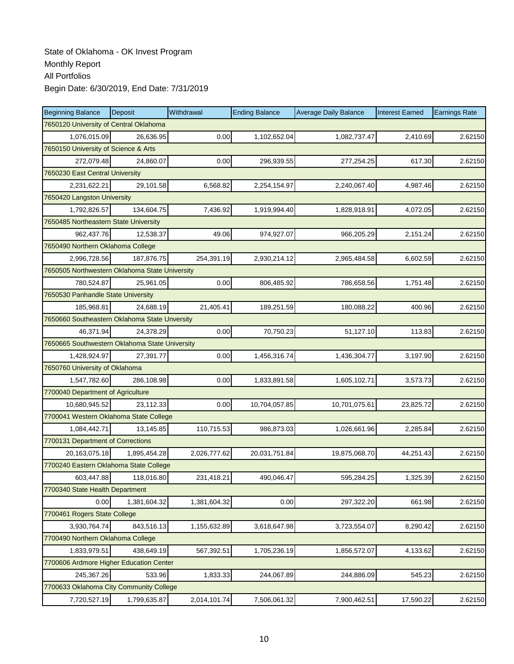| <b>Beginning Balance</b>                       | Deposit                         | Withdrawal   | <b>Ending Balance</b> | <b>Average Daily Balance</b> | <b>Interest Earned</b> | <b>Earnings Rate</b> |  |  |  |
|------------------------------------------------|---------------------------------|--------------|-----------------------|------------------------------|------------------------|----------------------|--|--|--|
| 7650120 University of Central Oklahoma         |                                 |              |                       |                              |                        |                      |  |  |  |
| 1,076,015.09                                   | 26,636.95                       | 0.00         | 1,102,652.04          | 1,082,737.47                 | 2,410.69               | 2.62150              |  |  |  |
| 7650150 University of Science & Arts           |                                 |              |                       |                              |                        |                      |  |  |  |
| 272,079.48                                     | 24,860.07                       | 0.00         | 296,939.55            | 277,254.25                   | 617.30                 | 2.62150              |  |  |  |
|                                                | 7650230 East Central University |              |                       |                              |                        |                      |  |  |  |
| 2,231,622.21                                   | 29,101.58                       | 6,568.82     | 2,254,154.97          | 2,240,067.40                 | 4,987.46               | 2.62150              |  |  |  |
| 7650420 Langston University                    |                                 |              |                       |                              |                        |                      |  |  |  |
| 1,792,826.57                                   | 134,604.75                      | 7,436.92     | 1,919,994.40          | 1,828,918.91                 | 4,072.05               | 2.62150              |  |  |  |
| 7650485 Northeastern State University          |                                 |              |                       |                              |                        |                      |  |  |  |
| 962,437.76                                     | 12,538.37                       | 49.06        | 974,927.07            | 966,205.29                   | 2,151.24               | 2.62150              |  |  |  |
| 7650490 Northern Oklahoma College              |                                 |              |                       |                              |                        |                      |  |  |  |
| 2,996,728.56                                   | 187,876.75                      | 254,391.19   | 2,930,214.12          | 2,965,484.58                 | 6,602.59               | 2.62150              |  |  |  |
| 7650505 Northwestern Oklahoma State University |                                 |              |                       |                              |                        |                      |  |  |  |
| 780,524.87                                     | 25,961.05                       | 0.00         | 806,485.92            | 786,658.56                   | 1,751.48               | 2.62150              |  |  |  |
| 7650530 Panhandle State University             |                                 |              |                       |                              |                        |                      |  |  |  |
| 185,968.81                                     | 24,688.19                       | 21,405.41    | 189,251.59            | 180,088.22                   | 400.96                 | 2.62150              |  |  |  |
| 7650660 Southeastern Oklahoma State Unversity  |                                 |              |                       |                              |                        |                      |  |  |  |
| 46,371.94                                      | 24,378.29                       | 0.00         | 70,750.23             | 51,127.10                    | 113.83                 | 2.62150              |  |  |  |
| 7650665 Southwestern Oklahoma State University |                                 |              |                       |                              |                        |                      |  |  |  |
| 1,428,924.97                                   | 27,391.77                       | 0.00         | 1,456,316.74          | 1,436,304.77                 | 3,197.90               | 2.62150              |  |  |  |
| 7650760 University of Oklahoma                 |                                 |              |                       |                              |                        |                      |  |  |  |
| 1,547,782.60                                   | 286,108.98                      | 0.00         | 1,833,891.58          | 1,605,102.71                 | 3,573.73               | 2.62150              |  |  |  |
| 7700040 Department of Agriculture              |                                 |              |                       |                              |                        |                      |  |  |  |
| 10,680,945.52                                  | 23,112.33                       | 0.00         | 10,704,057.85         | 10,701,075.61                | 23,825.72              | 2.62150              |  |  |  |
| 7700041 Western Oklahoma State College         |                                 |              |                       |                              |                        |                      |  |  |  |
| 1,084,442.71                                   | 13,145.85                       | 110,715.53   | 986,873.03            | 1,026,661.96                 | 2,285.84               | 2.62150              |  |  |  |
| 7700131 Department of Corrections              |                                 |              |                       |                              |                        |                      |  |  |  |
| 20,163,075.18                                  | 1,895,454.28                    | 2,026,777.62 | 20,031,751.84         | 19,875,068.70                | 44,251.43              | 2.62150              |  |  |  |
| 7700240 Eastern Oklahoma State College         |                                 |              |                       |                              |                        |                      |  |  |  |
| 603,447.88                                     | 118,016.80                      | 231,418.21   | 490,046.47            | 595,284.25                   | 1,325.39               | 2.62150              |  |  |  |
| 7700340 State Health Department                |                                 |              |                       |                              |                        |                      |  |  |  |
| 0.00                                           | 1,381,604.32                    | 1,381,604.32 | 0.00                  | 297,322.20                   | 661.98                 | 2.62150              |  |  |  |
| 7700461 Rogers State College                   |                                 |              |                       |                              |                        |                      |  |  |  |
| 3,930,764.74                                   | 843,516.13                      | 1,155,632.89 | 3,618,647.98          | 3,723,554.07                 | 8,290.42               | 2.62150              |  |  |  |
| 7700490 Northern Oklahoma College              |                                 |              |                       |                              |                        |                      |  |  |  |
| 1,833,979.51                                   | 438,649.19                      | 567,392.51   | 1,705,236.19          | 1,856,572.07                 | 4,133.62               | 2.62150              |  |  |  |
| 7700606 Ardmore Higher Education Center        |                                 |              |                       |                              |                        |                      |  |  |  |
| 245,367.26                                     | 533.96                          | 1,833.33     | 244,067.89            | 244,886.09                   | 545.23                 | 2.62150              |  |  |  |
| 7700633 Oklahoma City Community College        |                                 |              |                       |                              |                        |                      |  |  |  |
| 7,720,527.19                                   | 1,799,635.87                    | 2,014,101.74 | 7,506,061.32          | 7,900,462.51                 | 17,590.22              | 2.62150              |  |  |  |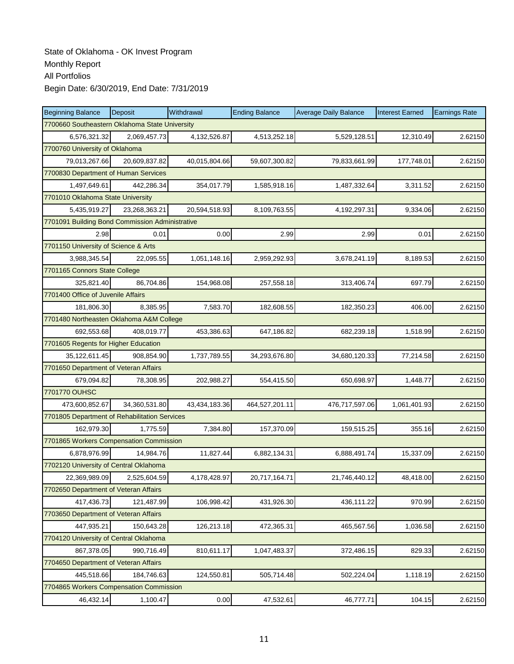| <b>Beginning Balance</b>                        | Deposit       | Withdrawal    | <b>Ending Balance</b> | <b>Average Daily Balance</b> | <b>Interest Earned</b> | <b>Earnings Rate</b> |
|-------------------------------------------------|---------------|---------------|-----------------------|------------------------------|------------------------|----------------------|
| 7700660 Southeastern Oklahoma State University  |               |               |                       |                              |                        |                      |
| 6,576,321.32                                    | 2,069,457.73  | 4,132,526.87  | 4,513,252.18          | 5,529,128.51                 | 12,310.49              | 2.62150              |
| 7700760 University of Oklahoma                  |               |               |                       |                              |                        |                      |
| 79,013,267.66                                   | 20,609,837.82 | 40,015,804.66 | 59,607,300.82         | 79,833,661.99                | 177,748.01             | 2.62150              |
| 7700830 Department of Human Services            |               |               |                       |                              |                        |                      |
| 1,497,649.61                                    | 442,286.34    | 354,017.79    | 1,585,918.16          | 1,487,332.64                 | 3,311.52               | 2.62150              |
| 7701010 Oklahoma State University               |               |               |                       |                              |                        |                      |
| 5,435,919.27                                    | 23.268.363.21 | 20,594,518.93 | 8,109,763.55          | 4,192,297.31                 | 9,334.06               | 2.62150              |
| 7701091 Building Bond Commission Administrative |               |               |                       |                              |                        |                      |
| 2.98                                            | 0.01          | 0.00          | 2.99                  | 2.99                         | 0.01                   | 2.62150              |
| 7701150 University of Science & Arts            |               |               |                       |                              |                        |                      |
| 3,988,345.54                                    | 22,095.55     | 1,051,148.16  | 2,959,292.93          | 3,678,241.19                 | 8,189.53               | 2.62150              |
| 7701165 Connors State College                   |               |               |                       |                              |                        |                      |
| 325,821.40                                      | 86,704.86     | 154,968.08    | 257,558.18            | 313,406.74                   | 697.79                 | 2.62150              |
| 7701400 Office of Juvenile Affairs              |               |               |                       |                              |                        |                      |
| 181,806.30                                      | 8,385.95      | 7,583.70      | 182,608.55            | 182,350.23                   | 406.00                 | 2.62150              |
| 7701480 Northeasten Oklahoma A&M College        |               |               |                       |                              |                        |                      |
| 692.553.68                                      | 408.019.77    | 453,386.63    | 647,186.82            | 682,239.18                   | 1,518.99               | 2.62150              |
| 7701605 Regents for Higher Education            |               |               |                       |                              |                        |                      |
| 35,122,611.45                                   | 908,854.90    | 1,737,789.55  | 34,293,676.80         | 34,680,120.33                | 77,214.58              | 2.62150              |
| 7701650 Department of Veteran Affairs           |               |               |                       |                              |                        |                      |
| 679,094.82                                      | 78,308.95     | 202,988.27    | 554,415.50            | 650,698.97                   | 1,448.77               | 2.62150              |
| 7701770 OUHSC                                   |               |               |                       |                              |                        |                      |
| 473,600,852.67                                  | 34,360,531.80 | 43,434,183.36 | 464,527,201.11        | 476,717,597.06               | 1,061,401.93           | 2.62150              |
| 7701805 Department of Rehabilitation Services   |               |               |                       |                              |                        |                      |
| 162,979.30                                      | 1,775.59      | 7,384.80      | 157,370.09            | 159,515.25                   | 355.16                 | 2.62150              |
| 7701865 Workers Compensation Commission         |               |               |                       |                              |                        |                      |
| 6,878,976.99                                    | 14,984.76     | 11,827.44     | 6,882,134.31          | 6,888,491.74                 | 15,337.09              | 2.62150              |
| 7702120 University of Central Oklahoma          |               |               |                       |                              |                        |                      |
| 22,369,989.09                                   | 2,525,604.59  | 4,178,428.97  | 20,717,164.71         | 21,746,440.12                | 48,418.00              | 2.62150              |
| 7702650 Department of Veteran Affairs           |               |               |                       |                              |                        |                      |
| 417,436.73                                      | 121,487.99    | 106,998.42    | 431,926.30            | 436,111.22                   | 970.99                 | 2.62150              |
| 7703650 Department of Veteran Affairs           |               |               |                       |                              |                        |                      |
| 447,935.21                                      | 150,643.28    | 126,213.18    | 472,365.31            | 465,567.56                   | 1,036.58               | 2.62150              |
| 7704120 University of Central Oklahoma          |               |               |                       |                              |                        |                      |
| 867,378.05                                      | 990,716.49    | 810,611.17    | 1,047,483.37          | 372,486.15                   | 829.33                 | 2.62150              |
| 7704650 Department of Veteran Affairs           |               |               |                       |                              |                        |                      |
| 445,518.66                                      | 184,746.63    | 124,550.81    | 505,714.48            | 502,224.04                   | 1,118.19               | 2.62150              |
| 7704865 Workers Compensation Commission         |               |               |                       |                              |                        |                      |
| 46,432.14                                       | 1,100.47      | 0.00          | 47,532.61             | 46,777.71                    | 104.15                 | 2.62150              |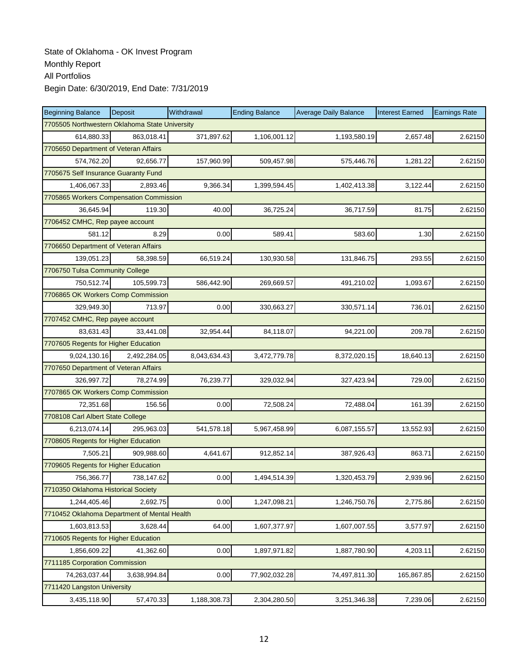| <b>Beginning Balance</b>                       | <b>Deposit</b> | Withdrawal   | <b>Ending Balance</b> | <b>Average Daily Balance</b> | <b>Interest Earned</b> | <b>Earnings Rate</b> |
|------------------------------------------------|----------------|--------------|-----------------------|------------------------------|------------------------|----------------------|
| 7705505 Northwestern Oklahoma State University |                |              |                       |                              |                        |                      |
| 614,880.33                                     | 863,018.41     | 371,897.62   | 1,106,001.12          | 1,193,580.19                 | 2,657.48               | 2.62150              |
| 7705650 Department of Veteran Affairs          |                |              |                       |                              |                        |                      |
| 574,762.20                                     | 92,656.77      | 157,960.99   | 509,457.98            | 575,446.76                   | 1,281.22               | 2.62150              |
| 7705675 Self Insurance Guaranty Fund           |                |              |                       |                              |                        |                      |
| 1,406,067.33                                   | 2,893.46       | 9,366.34     | 1,399,594.45          | 1,402,413.38                 | 3,122.44               | 2.62150              |
| 7705865 Workers Compensation Commission        |                |              |                       |                              |                        |                      |
| 36,645.94                                      | 119.30         | 40.00        | 36,725.24             | 36,717.59                    | 81.75                  | 2.62150              |
| 7706452 CMHC, Rep payee account                |                |              |                       |                              |                        |                      |
| 581.12                                         | 8.29           | 0.00         | 589.41                | 583.60                       | 1.30                   | 2.62150              |
| 7706650 Department of Veteran Affairs          |                |              |                       |                              |                        |                      |
| 139,051.23                                     | 58,398.59      | 66,519.24    | 130,930.58            | 131,846.75                   | 293.55                 | 2.62150              |
| 7706750 Tulsa Community College                |                |              |                       |                              |                        |                      |
| 750,512.74                                     | 105,599.73     | 586,442.90   | 269,669.57            | 491,210.02                   | 1,093.67               | 2.62150              |
| 7706865 OK Workers Comp Commission             |                |              |                       |                              |                        |                      |
| 329,949.30                                     | 713.97         | 0.00         | 330,663.27            | 330,571.14                   | 736.01                 | 2.62150              |
| 7707452 CMHC, Rep payee account                |                |              |                       |                              |                        |                      |
| 83,631.43                                      | 33,441.08      | 32,954.44    | 84,118.07             | 94,221.00                    | 209.78                 | 2.62150              |
| 7707605 Regents for Higher Education           |                |              |                       |                              |                        |                      |
| 9,024,130.16                                   | 2,492,284.05   | 8,043,634.43 | 3,472,779.78          | 8,372,020.15                 | 18,640.13              | 2.62150              |
| 7707650 Department of Veteran Affairs          |                |              |                       |                              |                        |                      |
| 326,997.72                                     | 78,274.99      | 76,239.77    | 329,032.94            | 327,423.94                   | 729.00                 | 2.62150              |
| 7707865 OK Workers Comp Commission             |                |              |                       |                              |                        |                      |
| 72,351.68                                      | 156.56         | 0.00         | 72,508.24             | 72,488.04                    | 161.39                 | 2.62150              |
| 7708108 Carl Albert State College              |                |              |                       |                              |                        |                      |
| 6,213,074.14                                   | 295,963.03     | 541,578.18   | 5,967,458.99          | 6,087,155.57                 | 13,552.93              | 2.62150              |
| 7708605 Regents for Higher Education           |                |              |                       |                              |                        |                      |
| 7,505.21                                       | 909,988.60     | 4,641.67     | 912,852.14            | 387,926.43                   | 863.71                 | 2.62150              |
| 7709605 Regents for Higher Education           |                |              |                       |                              |                        |                      |
| 756,366.77                                     | 738,147.62     | 0.00         | 1,494,514.39          | 1,320,453.79                 | 2,939.96               | 2.62150              |
| 7710350 Oklahoma Historical Society            |                |              |                       |                              |                        |                      |
| 1,244,405.46                                   | 2,692.75       | 0.00         | 1,247,098.21          | 1,246,750.76                 | 2,775.86               | 2.62150              |
| 7710452 Oklahoma Department of Mental Health   |                |              |                       |                              |                        |                      |
| 1,603,813.53                                   | 3.628.44       | 64.00        | 1,607,377.97          | 1,607,007.55                 | 3,577.97               | 2.62150              |
| 7710605 Regents for Higher Education           |                |              |                       |                              |                        |                      |
| 1,856,609.22                                   | 41,362.60      | 0.00         | 1,897,971.82          | 1,887,780.90                 | 4,203.11               | 2.62150              |
| 7711185 Corporation Commission                 |                |              |                       |                              |                        |                      |
| 74,263,037.44                                  | 3,638,994.84   | 0.00         | 77,902,032.28         | 74,497,811.30                | 165,867.85             | 2.62150              |
| 7711420 Langston University                    |                |              |                       |                              |                        |                      |
| 3,435,118.90                                   | 57,470.33      | 1,188,308.73 | 2,304,280.50          | 3,251,346.38                 | 7,239.06               | 2.62150              |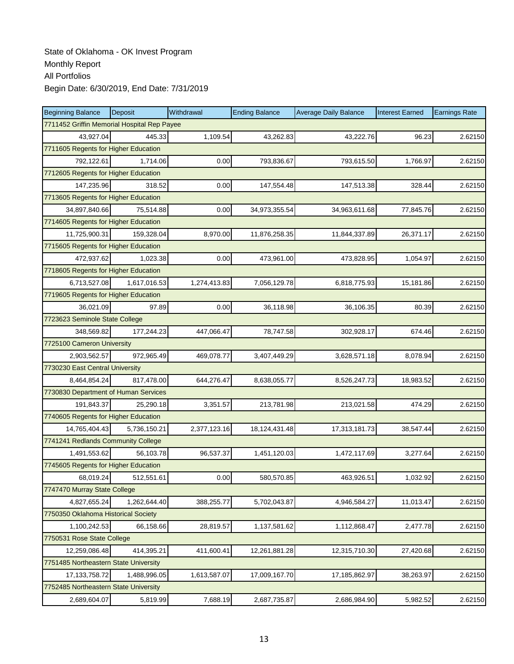| <b>Beginning Balance</b>                    | Deposit      | Withdrawal   | <b>Ending Balance</b> | <b>Average Daily Balance</b> | <b>Interest Earned</b> | <b>Earnings Rate</b> |  |
|---------------------------------------------|--------------|--------------|-----------------------|------------------------------|------------------------|----------------------|--|
| 7711452 Griffin Memorial Hospital Rep Payee |              |              |                       |                              |                        |                      |  |
| 43,927.04                                   | 445.33       | 1,109.54     | 43,262.83             | 43.222.76                    | 96.23                  | 2.62150              |  |
| 7711605 Regents for Higher Education        |              |              |                       |                              |                        |                      |  |
| 792,122.61                                  | 1,714.06     | 0.00         | 793,836.67            | 793,615.50                   | 1,766.97               | 2.62150              |  |
| 7712605 Regents for Higher Education        |              |              |                       |                              |                        |                      |  |
| 147,235.96                                  | 318.52       | 0.00         | 147,554.48            | 147,513.38                   | 328.44                 | 2.62150              |  |
| 7713605 Regents for Higher Education        |              |              |                       |                              |                        |                      |  |
| 34,897,840.66                               | 75,514.88    | 0.00         | 34,973,355.54         | 34,963,611.68                | 77,845.76              | 2.62150              |  |
| 7714605 Regents for Higher Education        |              |              |                       |                              |                        |                      |  |
| 11,725,900.31                               | 159,328.04   | 8,970.00     | 11,876,258.35         | 11,844,337.89                | 26,371.17              | 2.62150              |  |
| 7715605 Regents for Higher Education        |              |              |                       |                              |                        |                      |  |
| 472,937.62                                  | 1,023.38     | 0.00         | 473,961.00            | 473,828.95                   | 1,054.97               | 2.62150              |  |
| 7718605 Regents for Higher Education        |              |              |                       |                              |                        |                      |  |
| 6,713,527.08                                | 1,617,016.53 | 1,274,413.83 | 7,056,129.78          | 6,818,775.93                 | 15,181.86              | 2.62150              |  |
| 7719605 Regents for Higher Education        |              |              |                       |                              |                        |                      |  |
| 36,021.09                                   | 97.89        | 0.00         | 36,118.98             | 36,106.35                    | 80.39                  | 2.62150              |  |
| 7723623 Seminole State College              |              |              |                       |                              |                        |                      |  |
| 348,569.82                                  | 177,244.23   | 447,066.47   | 78,747.58             | 302,928.17                   | 674.46                 | 2.62150              |  |
| 7725100 Cameron University                  |              |              |                       |                              |                        |                      |  |
| 2,903,562.57                                | 972,965.49   | 469,078.77   | 3,407,449.29          | 3,628,571.18                 | 8,078.94               | 2.62150              |  |
| 7730230 East Central University             |              |              |                       |                              |                        |                      |  |
| 8,464,854.24                                | 817,478.00   | 644,276.47   | 8,638,055.77          | 8,526,247.73                 | 18,983.52              | 2.62150              |  |
| 7730830 Department of Human Services        |              |              |                       |                              |                        |                      |  |
| 191,843.37                                  | 25,290.18    | 3,351.57     | 213,781.98            | 213,021.58                   | 474.29                 | 2.62150              |  |
| 7740605 Regents for Higher Education        |              |              |                       |                              |                        |                      |  |
| 14,765,404.43                               | 5,736,150.21 | 2,377,123.16 | 18, 124, 431. 48      | 17,313,181.73                | 38,547.44              | 2.62150              |  |
| 7741241 Redlands Community College          |              |              |                       |                              |                        |                      |  |
| 1,491,553.62                                | 56,103.78    | 96,537.37    | 1,451,120.03          | 1,472,117.69                 | 3,277.64               | 2.62150              |  |
| 7745605 Regents for Higher Education        |              |              |                       |                              |                        |                      |  |
| 68,019.24                                   | 512,551.61   | 0.00         | 580,570.85            | 463,926.51                   | 1,032.92               | 2.62150              |  |
| 7747470 Murray State College                |              |              |                       |                              |                        |                      |  |
| 4,827,655.24                                | 1,262,644.40 | 388,255.77   | 5,702,043.87          | 4,946,584.27                 | 11,013.47              | 2.62150              |  |
| 7750350 Oklahoma Historical Society         |              |              |                       |                              |                        |                      |  |
| 1,100,242.53                                | 66,158.66    | 28,819.57    | 1,137,581.62          | 1,112,868.47                 | 2,477.78               | 2.62150              |  |
| 7750531 Rose State College                  |              |              |                       |                              |                        |                      |  |
| 12,259,086.48                               | 414,395.21   | 411,600.41   | 12,261,881.28         | 12,315,710.30                | 27,420.68              | 2.62150              |  |
| 7751485 Northeastern State University       |              |              |                       |                              |                        |                      |  |
| 17, 133, 758. 72                            | 1,488,996.05 | 1,613,587.07 | 17,009,167.70         | 17,185,862.97                | 38,263.97              | 2.62150              |  |
| 7752485 Northeastern State University       |              |              |                       |                              |                        |                      |  |
| 2,689,604.07                                | 5,819.99     | 7,688.19     | 2,687,735.87          | 2,686,984.90                 | 5,982.52               | 2.62150              |  |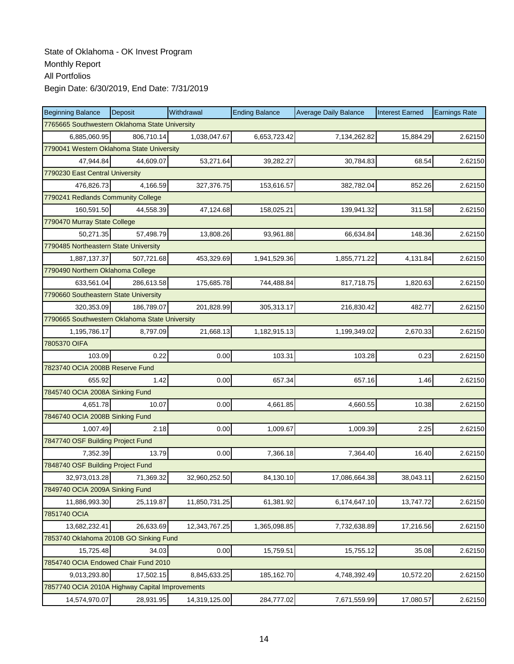| <b>Beginning Balance</b>                        | Deposit                            | Withdrawal    | <b>Ending Balance</b> | <b>Average Daily Balance</b> | <b>Interest Earned</b> | <b>Earnings Rate</b> |  |  |  |
|-------------------------------------------------|------------------------------------|---------------|-----------------------|------------------------------|------------------------|----------------------|--|--|--|
| 7765665 Southwestern Oklahoma State University  |                                    |               |                       |                              |                        |                      |  |  |  |
| 6,885,060.95                                    | 806,710.14                         | 1,038,047.67  | 6,653,723.42          | 7,134,262.82                 | 15.884.29              | 2.62150              |  |  |  |
| 7790041 Western Oklahoma State University       |                                    |               |                       |                              |                        |                      |  |  |  |
| 47,944.84                                       | 44,609.07                          | 53,271.64     | 39,282.27             | 30,784.83                    | 68.54                  | 2.62150              |  |  |  |
| 7790230 East Central University                 |                                    |               |                       |                              |                        |                      |  |  |  |
| 476,826.73                                      | 4,166.59                           | 327,376.75    | 153,616.57            | 382,782.04                   | 852.26                 | 2.62150              |  |  |  |
|                                                 | 7790241 Redlands Community College |               |                       |                              |                        |                      |  |  |  |
| 160,591.50                                      | 44,558.39                          | 47,124.68     | 158,025.21            | 139,941.32                   | 311.58                 | 2.62150              |  |  |  |
| 7790470 Murray State College                    |                                    |               |                       |                              |                        |                      |  |  |  |
| 50,271.35                                       | 57,498.79                          | 13,808.26     | 93,961.88             | 66,634.84                    | 148.36                 | 2.62150              |  |  |  |
| 7790485 Northeastern State University           |                                    |               |                       |                              |                        |                      |  |  |  |
| 1,887,137.37                                    | 507,721.68                         | 453,329.69    | 1,941,529.36          | 1,855,771.22                 | 4,131.84               | 2.62150              |  |  |  |
| 7790490 Northern Oklahoma College               |                                    |               |                       |                              |                        |                      |  |  |  |
| 633,561.04                                      | 286,613.58                         | 175,685.78    | 744,488.84            | 817,718.75                   | 1,820.63               | 2.62150              |  |  |  |
| 7790660 Southeastern State University           |                                    |               |                       |                              |                        |                      |  |  |  |
| 320,353.09                                      | 186,789.07                         | 201,828.99    | 305,313.17            | 216,830.42                   | 482.77                 | 2.62150              |  |  |  |
| 7790665 Southwestern Oklahoma State University  |                                    |               |                       |                              |                        |                      |  |  |  |
| 1,195,786.17                                    | 8,797.09                           | 21,668.13     | 1,182,915.13          | 1,199,349.02                 | 2,670.33               | 2.62150              |  |  |  |
| 7805370 OIFA                                    |                                    |               |                       |                              |                        |                      |  |  |  |
| 103.09                                          | 0.22                               | 0.00          | 103.31                | 103.28                       | 0.23                   | 2.62150              |  |  |  |
| 7823740 OCIA 2008B Reserve Fund                 |                                    |               |                       |                              |                        |                      |  |  |  |
| 655.92                                          | 1.42                               | 0.00          | 657.34                | 657.16                       | 1.46                   | 2.62150              |  |  |  |
| 7845740 OCIA 2008A Sinking Fund                 |                                    |               |                       |                              |                        |                      |  |  |  |
| 4,651.78                                        | 10.07                              | 0.00          | 4,661.85              | 4,660.55                     | 10.38                  | 2.62150              |  |  |  |
| 7846740 OCIA 2008B Sinking Fund                 |                                    |               |                       |                              |                        |                      |  |  |  |
| 1,007.49                                        | 2.18                               | 0.00          | 1,009.67              | 1,009.39                     | 2.25                   | 2.62150              |  |  |  |
| 7847740 OSF Building Project Fund               |                                    |               |                       |                              |                        |                      |  |  |  |
| 7,352.39                                        | 13.79                              | 0.00          | 7,366.18              | 7,364.40                     | 16.40                  | 2.62150              |  |  |  |
| 7848740 OSF Building Project Fund               |                                    |               |                       |                              |                        |                      |  |  |  |
| 32,973,013.28                                   | 71,369.32                          | 32,960,252.50 | 84,130.10             | 17,086,664.38                | 38,043.11              | 2.62150              |  |  |  |
| 7849740 OCIA 2009A Sinking Fund                 |                                    |               |                       |                              |                        |                      |  |  |  |
| 11,886,993.30                                   | 25,119.87                          | 11,850,731.25 | 61,381.92             | 6,174,647.10                 | 13,747.72              | 2.62150              |  |  |  |
| 7851740 OCIA                                    |                                    |               |                       |                              |                        |                      |  |  |  |
| 13,682,232.41                                   | 26,633.69                          | 12,343,767.25 | 1,365,098.85          | 7,732,638.89                 | 17,216.56              | 2.62150              |  |  |  |
| 7853740 Oklahoma 2010B GO Sinking Fund          |                                    |               |                       |                              |                        |                      |  |  |  |
| 15,725.48                                       | 34.03                              | 0.00          | 15,759.51             | 15,755.12                    | 35.08                  | 2.62150              |  |  |  |
| 7854740 OCIA Endowed Chair Fund 2010            |                                    |               |                       |                              |                        |                      |  |  |  |
| 9,013,293.80                                    | 17,502.15                          | 8,845,633.25  | 185,162.70            | 4,748,392.49                 | 10,572.20              | 2.62150              |  |  |  |
| 7857740 OCIA 2010A Highway Capital Improvements |                                    |               |                       |                              |                        |                      |  |  |  |
| 14,574,970.07                                   | 28,931.95                          | 14,319,125.00 | 284,777.02            | 7,671,559.99                 | 17,080.57              | 2.62150              |  |  |  |